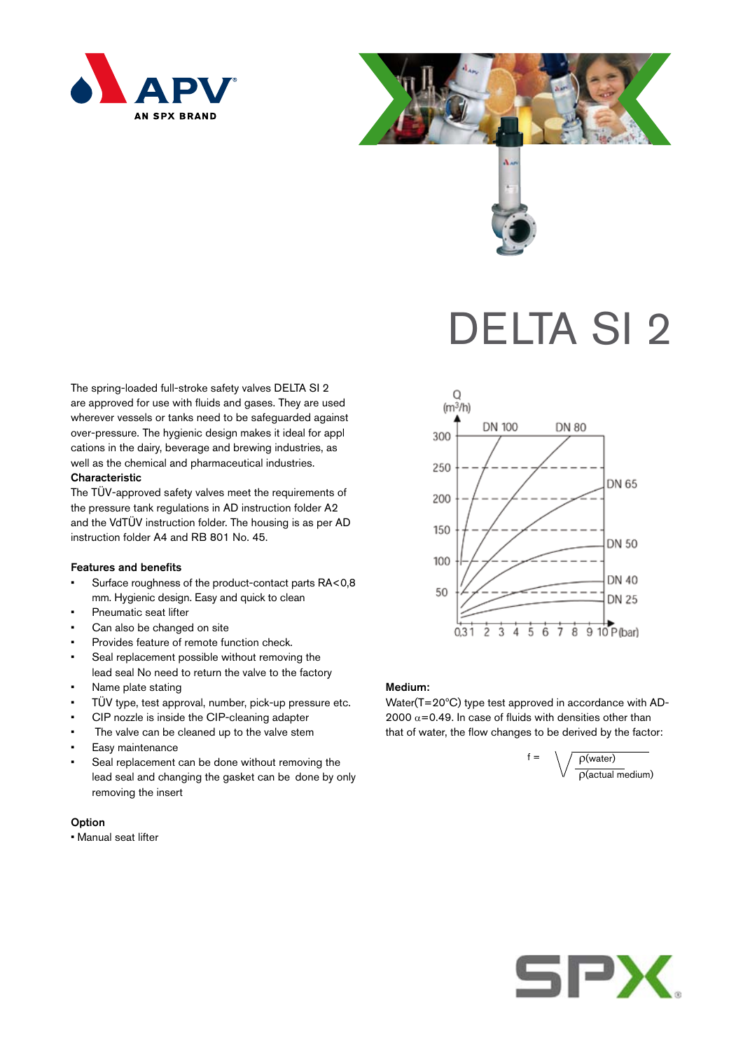





# DELTA SI 2

The spring-loaded full-stroke safety valves DELTA SI 2 are approved for use with fluids and gases. They are used wherever vessels or tanks need to be safeguarded against over-pressure. The hygienic design makes it ideal for appl cations in the dairy, beverage and brewing industries, as well as the chemical and pharmaceutical industries.

## **Characteristic**

The TÜV-approved safety valves meet the requirements of the pressure tank regulations in AD instruction folder A2 and the VdTÜV instruction folder. The housing is as per AD instruction folder A4 and RB 801 No. 45.

### Features and benefits

- Surface roughness of the product-contact parts RA<0,8 mm. Hygienic design. Easy and quick to clean
- Pneumatic seat lifter
- Can also be changed on site
- Provides feature of remote function check.
- Seal replacement possible without removing the lead seal No need to return the valve to the factory
- Name plate stating
- TÜV type, test approval, number, pick-up pressure etc.
- CIP nozzle is inside the CIP-cleaning adapter
- The valve can be cleaned up to the valve stem
- Easy maintenance
- Seal replacement can be done without removing the lead seal and changing the gasket can be done by only removing the insert

## **Option**

• Manual seat lifter



#### Medium:

Water(T=20ºC) type test approved in accordance with AD-2000  $\alpha$ =0.49. In case of fluids with densities other than that of water, the flow changes to be derived by the factor: